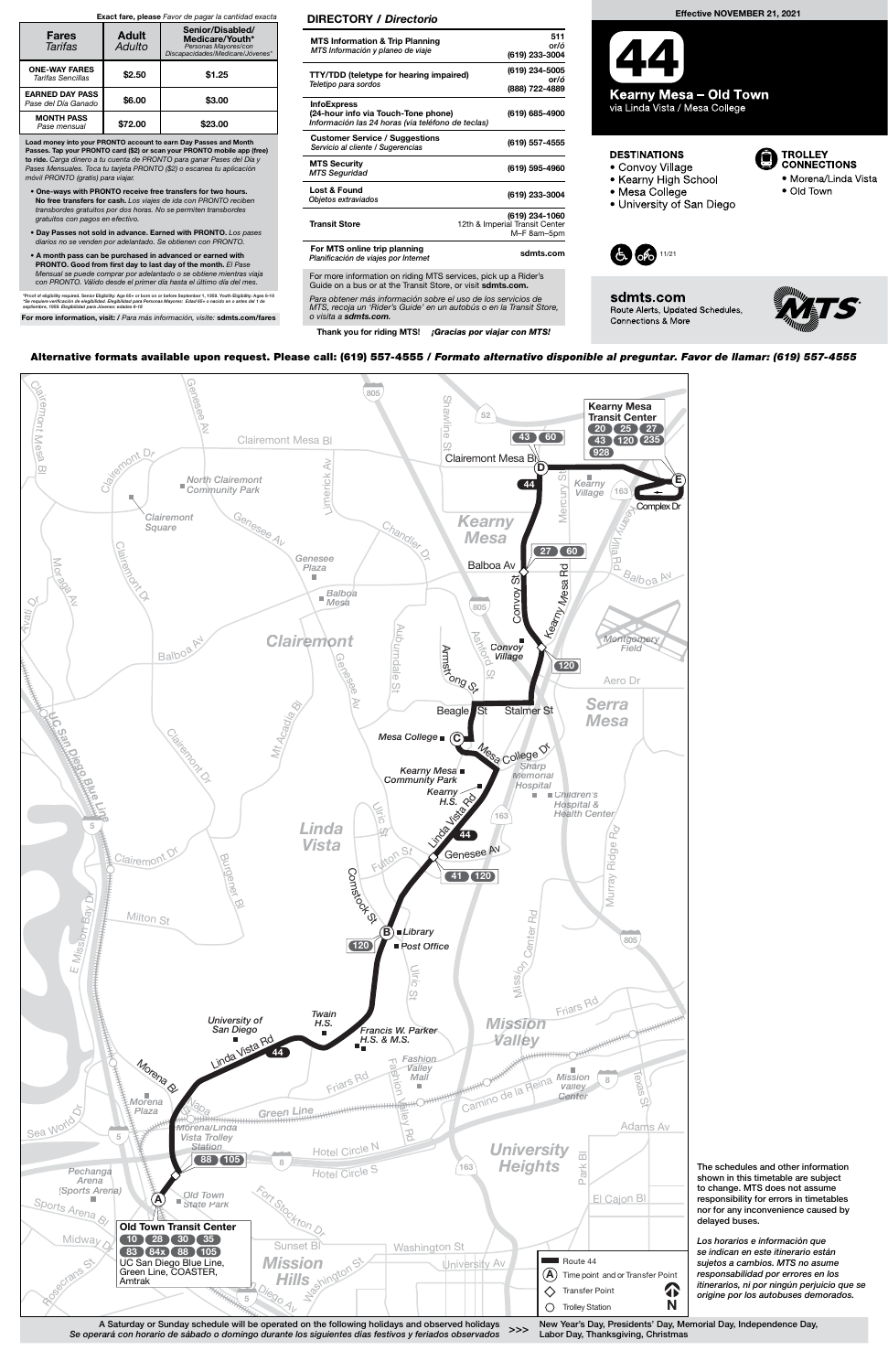A Saturday or Sunday schedule will be operated on the following holidays and observed holidays Se operará con horario de sábado o domingo durante los siguientes días festivos y feriados observados

New Year's Day, Presidents' Day, Memorial Day, Independence Day, >>> New Year's Bay, Tresidents Bay, the<br>Labor Day, Thanksgiving, Christmas

Los horarios e información que se indican en este itinerario están sujetos a cambios. MTS no asume responsabilidad por errores en los itinerarios, ni por ningún perjuicio que se Transfer Point **Container Point Point Preserve Algement Point Preserve Algement Preserve Algement** Preserve and P<br> **Container por los autobuses demorados.** 

The schedules and other information shown in this timetable are subject to change. MTS does not assume responsibility for errors in timetables nor for any inconvenience caused by delayed buses.



Para obtener más información sobre el uso de los servicios de MTS, recoja un 'Rider's Guide' en un autobús o en la Transit Store, o visita a sdmts.com.

Thank you for riding MTS! ¡Gracias por viajar con MTS!

#### DIRECTORY / Directorio

| <b>MTS Information &amp; Trip Planning</b><br>MTS Información y planeo de viaje                                | 511<br>or/ó<br>(619) 233-3004                                   |
|----------------------------------------------------------------------------------------------------------------|-----------------------------------------------------------------|
| <b>TTY/TDD</b> (teletype for hearing impaired)<br>Teletipo para sordos                                         | (619) 234-5005<br>nr/ó<br>(888) 722-4889                        |
| <b>InfoExpress</b><br>(24-hour info via Touch-Tone phone)<br>Información las 24 horas (via teléfono de teclas) | (619) 685-4900                                                  |
| <b>Customer Service / Suggestions</b><br>Servicio al cliente / Sugerencias                                     | (619) 557-4555                                                  |
| <b>MTS Security</b><br><b>MTS Seguridad</b>                                                                    | (619) 595-4960                                                  |
| Lost & Found<br>Objetos extraviados                                                                            | (619) 233-3004                                                  |
| <b>Transit Store</b>                                                                                           | (619) 234-1060<br>12th & Imperial Transit Center<br>M-F 8am-5pm |
| For MTS online trip planning<br>Planificación de viajes por Internet                                           | sdmts.com                                                       |
| For more information on riding MTS services, pick up a Rider's                                                 |                                                                 |

Guide on a bus or at the Transit Store, or visit sdmts.com.

### Effective NOVEMBER 21, 2021

Kearny Mesa – Old Town via Linda Vista / Mesa College

## **DESTINATIONS**

- Convoy Village
- Kearny High School
- Mesa College
- University of San Diego



sdmts.com Route Alerts, Updated Schedules, Connections & More



**TROLLEY<br>CONNECTIONS** 

• Old Town

· Morena/Linda Vista

# Alternative formats available upon request. Please call: (619) 557-4555 / Formato alternativo disponible al preguntar. Favor de llamar: (619) 557-4555

Load money into your PRONTO account to earn Day Passes and Month Passes. Tap your PRONTO card (\$2) or scan your PRONTO mobile app (free)<br>to ride. Carga dinero a tu cuenta de PRONTO para ganar Pases del Día y Pases Mensuales. Toca tu tarjeta PRONTO (\$2) o escanea tu aplicación móvil PRONTO (gratis) para viajar.

- One-ways with PRONTO receive free transfers for two hours. No free transfers for cash. Los viajes de ida con PRONTO reciben transbordes gratuitos por dos horas. No se permiten transbordes gratuitos con pagos en efectivo.
- Day Passes not sold in advance. Earned with PRONTO. Los pases diarios no se venden por adelantado. Se obtienen con PRONTO.
- A month pass can be purchased in advanced or earned with PRONTO. Good from first day to last day of the month. El Pase Mensual se puede comprar por adelantado o se obtiene mientras viaja con PRONTO. Válido desde el primer día hasta el último día del mes.

\*Proof of eligibility required. Senior Eligibility: Age 65+ or born on or before September 1, 1959. Youth Eligibility: Ages 6-18<br>\*Se requiere verificación de elegibilidad. Elegibilidad para Personas Mayores: Edad 65+ o na

For more information, visit: / Para más información, visite: sdmts.com/fares

#### Exact fare, please Favor de pagar la cantidad exacta

| <b>Fares</b><br>Tarifas                       | <b>Adult</b><br>Adulto | Senior/Disabled/<br>Medicare/Youth*<br>Personas Mayores/con<br>Discapacidades/Medicare/Jóvenes* |
|-----------------------------------------------|------------------------|-------------------------------------------------------------------------------------------------|
| <b>ONE-WAY FARES</b><br>Tarifas Sencillas     | \$2.50                 | \$1.25                                                                                          |
| <b>EARNED DAY PASS</b><br>Pase del Día Ganado | \$6.00                 | \$3.00                                                                                          |
| <b>MONTH PASS</b><br>Pase mensual             | \$72.00                | \$23.00                                                                                         |